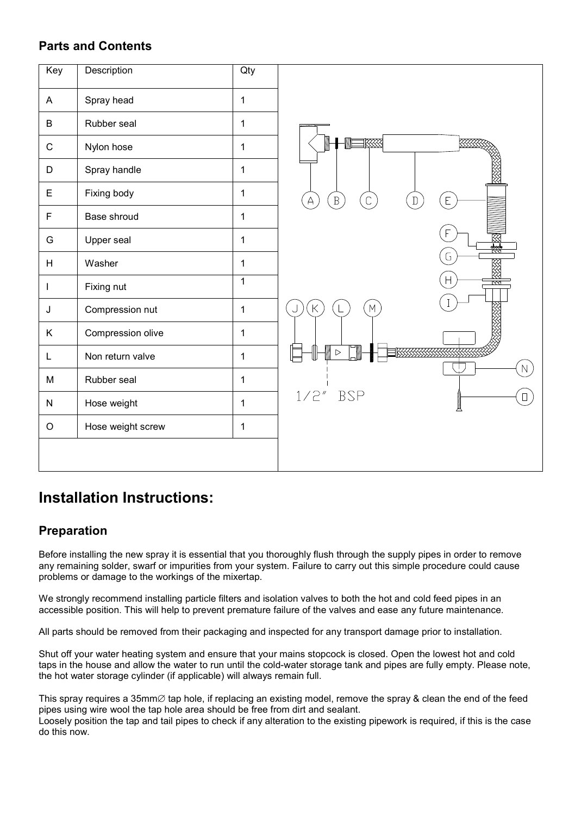#### **Parts and Contents**



# **Installation Instructions:**

#### **Preparation**

Before installing the new spray it is essential that you thoroughly flush through the supply pipes in order to remove any remaining solder, swarf or impurities from your system. Failure to carry out this simple procedure could cause problems or damage to the workings of the mixertap.

We strongly recommend installing particle filters and isolation valves to both the hot and cold feed pipes in an accessible position. This will help to prevent premature failure of the valves and ease any future maintenance.

All parts should be removed from their packaging and inspected for any transport damage prior to installation.

Shut off your water heating system and ensure that your mains stopcock is closed. Open the lowest hot and cold taps in the house and allow the water to run until the cold-water storage tank and pipes are fully empty. Please note, the hot water storage cylinder (if applicable) will always remain full.

This spray requires a 35mm∅ tap hole, if replacing an existing model, remove the spray & clean the end of the feed pipes using wire wool the tap hole area should be free from dirt and sealant.

Loosely position the tap and tail pipes to check if any alteration to the existing pipework is required, if this is the case do this now.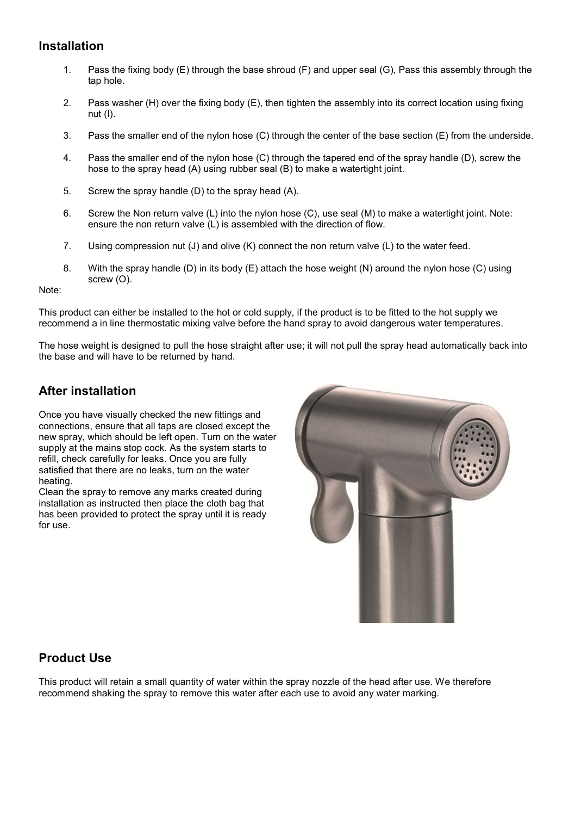#### **Installation**

- 1. Pass the fixing body (E) through the base shroud (F) and upper seal (G), Pass this assembly through the tap hole.
- 2. Pass washer (H) over the fixing body (E), then tighten the assembly into its correct location using fixing nut (I).
- 3. Pass the smaller end of the nylon hose (C) through the center of the base section (E) from the underside.
- 4. Pass the smaller end of the nylon hose (C) through the tapered end of the spray handle (D), screw the hose to the spray head (A) using rubber seal (B) to make a watertight joint.
- 5. Screw the spray handle (D) to the spray head (A).
- 6. Screw the Non return valve (L) into the nylon hose (C), use seal (M) to make a watertight joint. Note: ensure the non return valve (L) is assembled with the direction of flow.
- 7. Using compression nut (J) and olive (K) connect the non return valve (L) to the water feed.
- 8. With the spray handle (D) in its body (E) attach the hose weight (N) around the nylon hose (C) using screw (O).

Note:

This product can either be installed to the hot or cold supply, if the product is to be fitted to the hot supply we recommend a in line thermostatic mixing valve before the hand spray to avoid dangerous water temperatures.

The hose weight is designed to pull the hose straight after use; it will not pull the spray head automatically back into the base and will have to be returned by hand.

### **After installation**

Once you have visually checked the new fittings and connections, ensure that all taps are closed except the new spray, which should be left open. Turn on the water supply at the mains stop cock. As the system starts to refill, check carefully for leaks. Once you are fully satisfied that there are no leaks, turn on the water heating.

Clean the spray to remove any marks created during installation as instructed then place the cloth bag that has been provided to protect the spray until it is ready for use.



#### **Product Use**

This product will retain a small quantity of water within the spray nozzle of the head after use. We therefore recommend shaking the spray to remove this water after each use to avoid any water marking.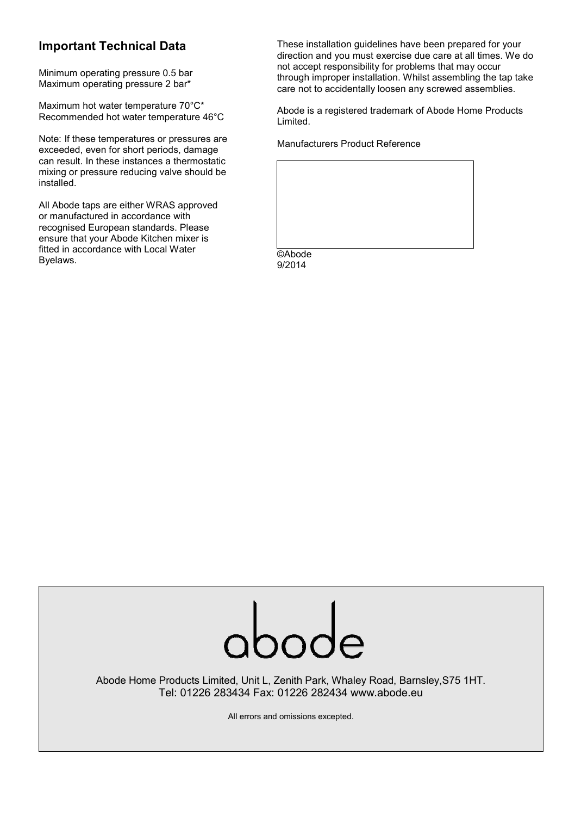### **Important Technical Data**

Minimum operating pressure 0.5 bar Maximum operating pressure 2 bar\*

Maximum hot water temperature 70°C\* Recommended hot water temperature 46°C

Note: If these temperatures or pressures are exceeded, even for short periods, damage can result. In these instances a thermostatic mixing or pressure reducing valve should be installed.

All Abode taps are either WRAS approved or manufactured in accordance with recognised European standards. Please ensure that your Abode Kitchen mixer is fitted in accordance with Local Water Byelaws.

These installation guidelines have been prepared for your direction and you must exercise due care at all times. We do not accept responsibility for problems that may occur through improper installation. Whilst assembling the tap take care not to accidentally loosen any screwed assemblies.

Abode is a registered trademark of Abode Home Products Limited.

Manufacturers Product Reference

©Abode 9/2014



Abode Home Products Limited, Unit L, Zenith Park, Whaley Road, Barnsley,S75 1HT. Tel: 01226 283434 Fax: 01226 282434 www.abode.eu

All errors and omissions excepted.